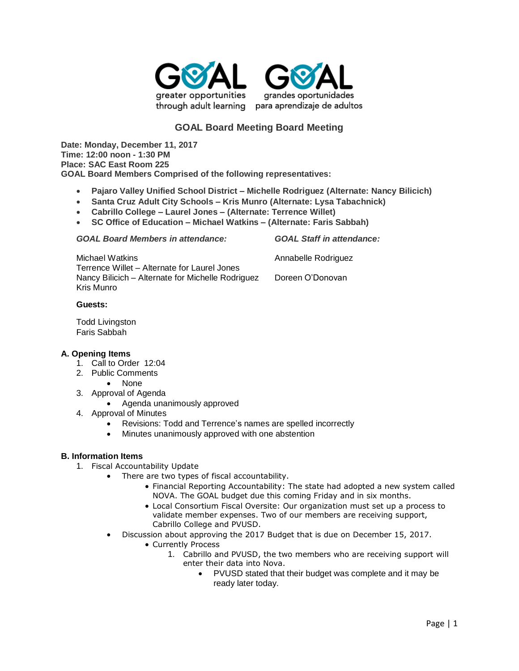



# **GOAL Board Meeting Board Meeting**

**Date: Monday, December 11, 2017 Time: 12:00 noon - 1:30 PM Place: SAC East Room 225 GOAL Board Members Comprised of the following representatives:**

- **Pajaro Valley Unified School District – Michelle Rodriguez (Alternate: Nancy Bilicich)**
- **Santa Cruz Adult City Schools – Kris Munro (Alternate: Lysa Tabachnick)**
- **Cabrillo College – Laurel Jones – (Alternate: Terrence Willet)**
- **SC Office of Education – Michael Watkins – (Alternate: Faris Sabbah)**

*GOAL Board Members in attendance: GOAL Staff in attendance:*

Michael Watkins **Annabelle Rodriguez Annabelle Rodriguez** Terrence Willet – Alternate for Laurel Jones Nancy Bilicich – Alternate for Michelle Rodriguez Doreen O'Donovan Kris Munro

## **Guests:**

Todd Livingston Faris Sabbah

### **A. Opening Items**

- 1. Call to Order 12:04
- 2. Public Comments
	- None
- 3. Approval of Agenda
	- Agenda unanimously approved
- 4. Approval of Minutes
	- Revisions: Todd and Terrence's names are spelled incorrectly
	- Minutes unanimously approved with one abstention

# **B. Information Items**

- 1. Fiscal Accountability Update
	- There are two types of fiscal accountability.
		- Financial Reporting Accountability: The state had adopted a new system called NOVA. The GOAL budget due this coming Friday and in six months.
		- Local Consortium Fiscal Oversite: Our organization must set up a process to validate member expenses. Two of our members are receiving support, Cabrillo College and PVUSD.
	- Discussion about approving the 2017 Budget that is due on December 15, 2017.
		- Currently Process
			- 1. Cabrillo and PVUSD, the two members who are receiving support will enter their data into Nova.
				- PVUSD stated that their budget was complete and it may be ready later today.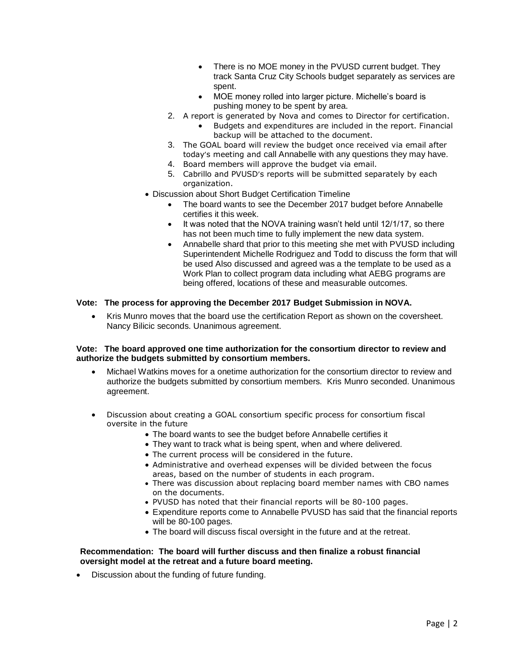- There is no MOE money in the PVUSD current budget. They track Santa Cruz City Schools budget separately as services are spent.
- MOE money rolled into larger picture. Michelle's board is pushing money to be spent by area.
- 2. A report is generated by Nova and comes to Director for certification.
	- Budgets and expenditures are included in the report. Financial backup will be attached to the document.
- 3. The GOAL board will review the budget once received via email after today's meeting and call Annabelle with any questions they may have.
- 4. Board members will approve the budget via email.
- 5. Cabrillo and PVUSD's reports will be submitted separately by each organization.
- Discussion about Short Budget Certification Timeline
	- The board wants to see the December 2017 budget before Annabelle certifies it this week.
	- It was noted that the NOVA training wasn't held until 12/1/17, so there has not been much time to fully implement the new data system.
	- Annabelle shard that prior to this meeting she met with PVUSD including Superintendent Michelle Rodriguez and Todd to discuss the form that will be used Also discussed and agreed was a the template to be used as a Work Plan to collect program data including what AEBG programs are being offered, locations of these and measurable outcomes.

# **Vote: The process for approving the December 2017 Budget Submission in NOVA.**

• Kris Munro moves that the board use the certification Report as shown on the coversheet. Nancy Bilicic seconds. Unanimous agreement.

### **Vote: The board approved one time authorization for the consortium director to review and authorize the budgets submitted by consortium members.**

- Michael Watkins moves for a onetime authorization for the consortium director to review and authorize the budgets submitted by consortium members. Kris Munro seconded. Unanimous agreement.
- Discussion about creating a GOAL consortium specific process for consortium fiscal oversite in the future
	- The board wants to see the budget before Annabelle certifies it
	- They want to track what is being spent, when and where delivered.
	- The current process will be considered in the future.
	- Administrative and overhead expenses will be divided between the focus areas, based on the number of students in each program.
	- There was discussion about replacing board member names with CBO names on the documents.
	- PVUSD has noted that their financial reports will be 80-100 pages.
	- Expenditure reports come to Annabelle PVUSD has said that the financial reports will be 80-100 pages.
	- The board will discuss fiscal oversight in the future and at the retreat.

## **Recommendation: The board will further discuss and then finalize a robust financial oversight model at the retreat and a future board meeting.**

• Discussion about the funding of future funding.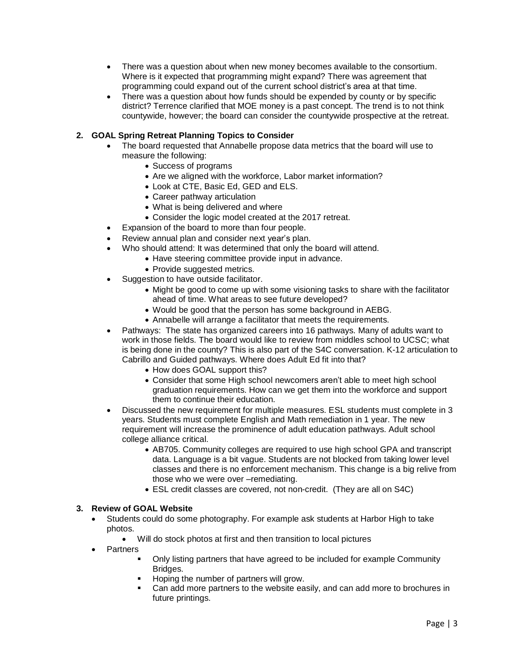- There was a question about when new money becomes available to the consortium. Where is it expected that programming might expand? There was agreement that programming could expand out of the current school district's area at that time.
- There was a question about how funds should be expended by county or by specific district? Terrence clarified that MOE money is a past concept. The trend is to not think countywide, however; the board can consider the countywide prospective at the retreat.

## **2. GOAL Spring Retreat Planning Topics to Consider**

- The board requested that Annabelle propose data metrics that the board will use to measure the following:
	- Success of programs
	- Are we aligned with the workforce, Labor market information?
	- Look at CTE, Basic Ed, GED and ELS.
	- Career pathway articulation
	- What is being delivered and where
	- Consider the logic model created at the 2017 retreat.
- Expansion of the board to more than four people.
- Review annual plan and consider next year's plan.
- Who should attend: It was determined that only the board will attend.
	- Have steering committee provide input in advance.
	- Provide suggested metrics.
- Suggestion to have outside facilitator.
	- Might be good to come up with some visioning tasks to share with the facilitator ahead of time. What areas to see future developed?
	- Would be good that the person has some background in AEBG.
	- Annabelle will arrange a facilitator that meets the requirements.
- Pathways: The state has organized careers into 16 pathways. Many of adults want to work in those fields. The board would like to review from middles school to UCSC; what is being done in the county? This is also part of the S4C conversation. K-12 articulation to Cabrillo and Guided pathways. Where does Adult Ed fit into that?
	- How does GOAL support this?
	- Consider that some High school newcomers aren't able to meet high school graduation requirements. How can we get them into the workforce and support them to continue their education.
- Discussed the new requirement for multiple measures. ESL students must complete in 3 years. Students must complete English and Math remediation in 1 year. The new requirement will increase the prominence of adult education pathways. Adult school college alliance critical.
	- AB705. Community colleges are required to use high school GPA and transcript data. Language is a bit vague. Students are not blocked from taking lower level classes and there is no enforcement mechanism. This change is a big relive from those who we were over –remediating.
	- ESL credit classes are covered, not non-credit. (They are all on S4C)

# **3. Review of GOAL Website**

- Students could do some photography. For example ask students at Harbor High to take photos.
	- Will do stock photos at first and then transition to local pictures
- Partners
	- Only listing partners that have agreed to be included for example Community Bridges.
	- Hoping the number of partners will grow.
	- Can add more partners to the website easily, and can add more to brochures in future printings.